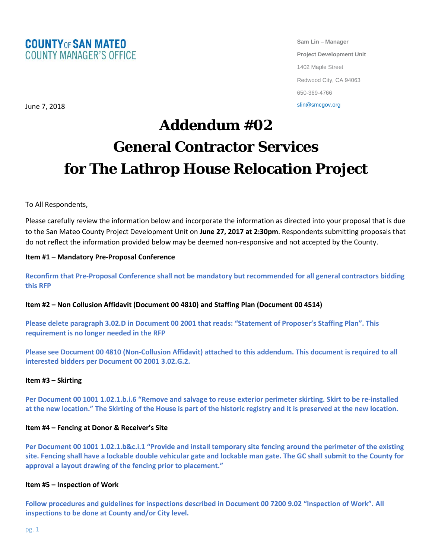

**Sam Lin – Manager Project Development Unit** 1402 Maple Street Redwood City, CA 94063 650-369-4766

slin@smcgov.org

# **Addendum #02 General Contractor Services for The Lathrop House Relocation Project**

# To All Respondents,

June 7, 2018

Please carefully review the information below and incorporate the information as directed into your proposal that is due to the San Mateo County Project Development Unit on **June 27, 2017 at 2:30pm**. Respondents submitting proposals that do not reflect the information provided below may be deemed non-responsive and not accepted by the County.

## **Item #1 – Mandatory Pre-Proposal Conference**

**Reconfirm that Pre-Proposal Conference shall not be mandatory but recommended for all general contractors bidding this RFP**

## **Item #2 – Non Collusion Affidavit (Document 00 4810) and Staffing Plan (Document 00 4514)**

**Please delete paragraph 3.02.D in Document 00 2001 that reads: "Statement of Proposer's Staffing Plan". This requirement is no longer needed in the RFP**

**Please see Document 00 4810 (Non-Collusion Affidavit) attached to this addendum. This document is required to all interested bidders per Document 00 2001 3.02.G.2.**

#### **Item #3 – Skirting**

**Per Document 00 1001 1.02.1.b.i.6 "Remove and salvage to reuse exterior perimeter skirting. Skirt to be re-installed at the new location." The Skirting of the House is part of the historic registry and it is preserved at the new location.**

#### **Item #4 – Fencing at Donor & Receiver's Site**

**Per Document 00 1001 1.02.1.b&c.i.1 "Provide and install temporary site fencing around the perimeter of the existing site. Fencing shall have a lockable double vehicular gate and lockable man gate. The GC shall submit to the County for approval a layout drawing of the fencing prior to placement."** 

## **Item #5 – Inspection of Work**

**Follow procedures and guidelines for inspections described in Document 00 7200 9.02 "Inspection of Work". All inspections to be done at County and/or City level.**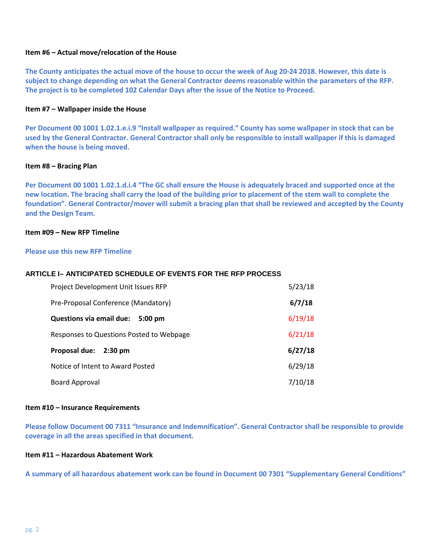## **Item #6 – Actual move/relocation of the House**

**The County anticipates the actual move of the house to occur the week of Aug 20-24 2018. However, this date is subject to change depending on what the General Contractor deems reasonable within the parameters of the RFP. The project is to be completed 102 Calendar Days after the issue of the Notice to Proceed.** 

## **Item #7 – Wallpaper inside the House**

**Per Document 00 1001 1.02.1.e.i.9 "Install wallpaper as required." County has some wallpaper in stock that can be used by the General Contractor. General Contractor shall only be responsible to install wallpaper if this is damaged when the house is being moved.** 

#### **Item #8 – Bracing Plan**

**Per Document 00 1001 1.02.1.d.i.4 "The GC shall ensure the House is adequately braced and supported once at the new location. The bracing shall carry the load of the building prior to placement of the stem wall to complete the foundation". General Contractor/mover will submit a bracing plan that shall be reviewed and accepted by the County and the Design Team.** 

## **Item #09 – New RFP Timeline**

#### **Please use this new RFP Timeline**

#### **ARTICLE I– ANTICIPATED SCHEDULE OF EVENTS FOR THE RFP PROCESS**

| Project Development Unit Issues RFP           | 5/23/18 |
|-----------------------------------------------|---------|
| Pre-Proposal Conference (Mandatory)           | 6/7/18  |
| Questions via email due:<br>$5:00 \text{ pm}$ | 6/19/18 |
| Responses to Questions Posted to Webpage      | 6/21/18 |
| Proposal due:<br>$2:30 \text{ pm}$            | 6/27/18 |
| Notice of Intent to Award Posted              | 6/29/18 |
| Board Approval                                | 7/10/18 |

#### **Item #10 – Insurance Requirements**

**Please follow Document 00 7311 "Insurance and Indemnification". General Contractor shall be responsible to provide coverage in all the areas specified in that document.** 

## **Item #11 – Hazardous Abatement Work**

**A summary of all hazardous abatement work can be found in Document 00 7301 "Supplementary General Conditions"**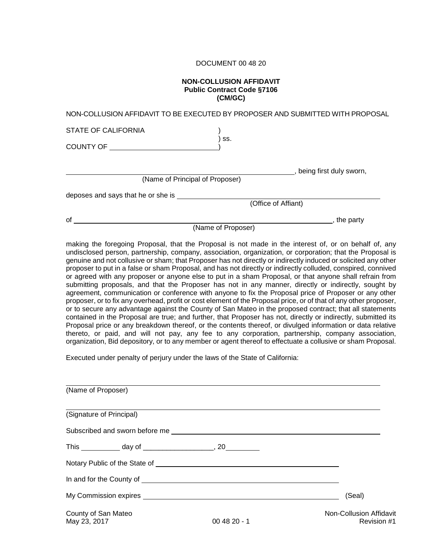## DOCUMENT 00 48 20

#### **NON-COLLUSION AFFIDAVIT Public Contract Code §7106 (CM/GC)**

| NON-COLLUSION AFFIDAVIT TO BE EXECUTED BY PROPOSER AND SUBMITTED WITH PROPOSAL                      |                     |                           |
|-----------------------------------------------------------------------------------------------------|---------------------|---------------------------|
| <b>STATE OF CALIFORNIA</b>                                                                          |                     |                           |
| COUNTY OF THE COUNTY OF                                                                             | SS.                 |                           |
|                                                                                                     |                     | , being first duly sworn, |
| (Name of Principal of Proposer)                                                                     |                     |                           |
| deposes and says that he or she is                                                                  |                     |                           |
|                                                                                                     | (Office of Affiant) |                           |
| of                                                                                                  |                     | , the party               |
|                                                                                                     | (Name of Proposer)  |                           |
| making the foregoing Proposal, that the Proposal is not made in the interest of or on behalf of any |                     |                           |

king the foregoing Proposal, that the Proposal is not made in the interest of, or on behalf of, any undisclosed person, partnership, company, association, organization, or corporation; that the Proposal is genuine and not collusive or sham; that Proposer has not directly or indirectly induced or solicited any other proposer to put in a false or sham Proposal, and has not directly or indirectly colluded, conspired, connived or agreed with any proposer or anyone else to put in a sham Proposal, or that anyone shall refrain from submitting proposals, and that the Proposer has not in any manner, directly or indirectly, sought by agreement, communication or conference with anyone to fix the Proposal price of Proposer or any other proposer, or to fix any overhead, profit or cost element of the Proposal price, or of that of any other proposer, or to secure any advantage against the County of San Mateo in the proposed contract; that all statements contained in the Proposal are true; and further, that Proposer has not, directly or indirectly, submitted its Proposal price or any breakdown thereof, or the contents thereof, or divulged information or data relative thereto, or paid, and will not pay, any fee to any corporation, partnership, company association, organization, Bid depository, or to any member or agent thereof to effectuate a collusive or sham Proposal.

Executed under penalty of perjury under the laws of the State of California:

| (Name of Proposer)                                         |              |                                        |
|------------------------------------------------------------|--------------|----------------------------------------|
| (Signature of Principal)                                   |              |                                        |
|                                                            |              |                                        |
| This ____________ day of ____________________, 20_________ |              |                                        |
|                                                            |              |                                        |
|                                                            |              |                                        |
|                                                            |              | (Seal)                                 |
| County of San Mateo<br>May 23, 2017                        | $004820 - 1$ | Non-Collusion Affidavit<br>Revision #1 |